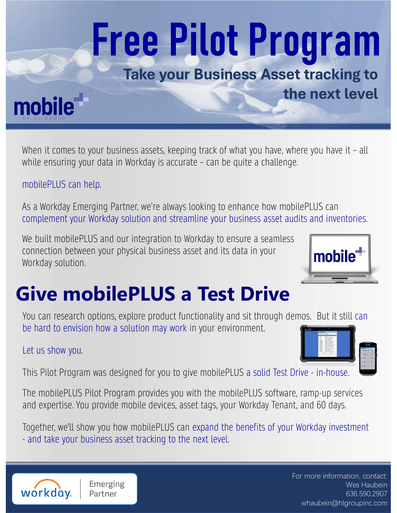# Take your Business Asset tracking to<br>
Take your Business Asset tracking to<br>
When it comes to your business assets, keeping track of what you have, where you have it – all<br>
When it comes to your business assets, keeping tra **Free Pilot Program**<br>Take your Business Asset tracking to<br>the next level<br>When it comes to your business assets, keeping track of what you have, where you have it - all<br>While ensuring your data in Workday is accurate – can

# Take your Business Asset tracking to

#### mobilePLUS can help.

As a Workday Emerging Partner, we're always looking to enhance how mobilePLUS can complement your Workday solution and streamline your business asset audits and inventories.

From plement your Workday solution and streamline your business asset audits and inventories.<br>We built mobilePLUS and our integration to Workday to ensure a seamless<br>connection between your physical business asset and its We built mobilePLUS and our integration to Workday to ensure a seamless connection between your physical business asset and its data in your **mobile** Workday solution.



You can research options, explore product functionality and sit through demos. But it still can be hard to envision how a solution may work in your environment.

#### Let us show you.



the next level

and expertise. You provide mobile devices, asset tags, your Workday Tenant, and 60 days.

Together, we'll show you how mobilePLUS can expand the benefits of your Workday investment



For more information, contact: Wes Haubein 636.590.2907 whaubein@hlgroupinc.com